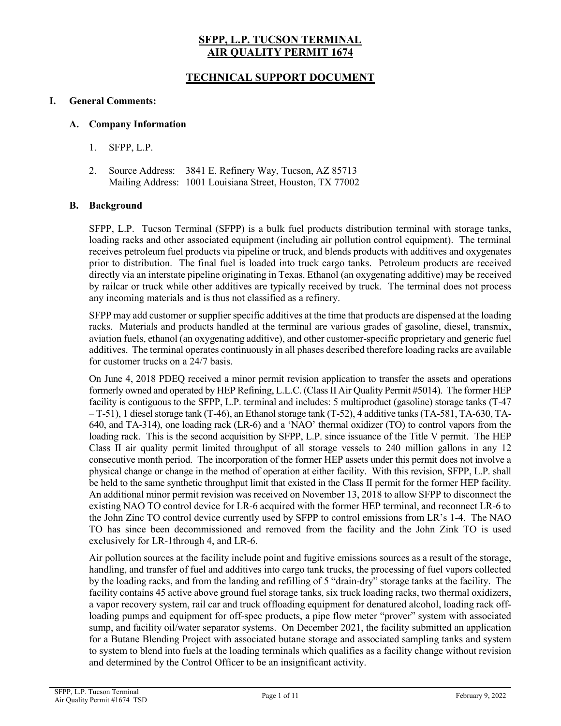# **SFPP, L.P. TUCSON TERMINAL AIR QUALITY PERMIT 1674**

# **TECHNICAL SUPPORT DOCUMENT**

### **I. General Comments:**

#### **A. Company Information**

- 1. SFPP, L.P.
- 2. Source Address: 3841 E. Refinery Way, Tucson, AZ 85713 Mailing Address: 1001 Louisiana Street, Houston, TX 77002

### **B. Background**

SFPP, L.P. Tucson Terminal (SFPP) is a bulk fuel products distribution terminal with storage tanks, loading racks and other associated equipment (including air pollution control equipment). The terminal receives petroleum fuel products via pipeline or truck, and blends products with additives and oxygenates prior to distribution. The final fuel is loaded into truck cargo tanks. Petroleum products are received directly via an interstate pipeline originating in Texas. Ethanol (an oxygenating additive) may be received by railcar or truck while other additives are typically received by truck. The terminal does not process any incoming materials and is thus not classified as a refinery.

SFPP may add customer or supplier specific additives at the time that products are dispensed at the loading racks. Materials and products handled at the terminal are various grades of gasoline, diesel, transmix, aviation fuels, ethanol (an oxygenating additive), and other customer-specific proprietary and generic fuel additives. The terminal operates continuously in all phases described therefore loading racks are available for customer trucks on a 24/7 basis.

On June 4, 2018 PDEQ received a minor permit revision application to transfer the assets and operations formerly owned and operated by HEP Refining, L.L.C. (Class II Air Quality Permit #5014). The former HEP facility is contiguous to the SFPP, L.P. terminal and includes: 5 multiproduct (gasoline) storage tanks (T-47 – T-51), 1 diesel storage tank (T-46), an Ethanol storage tank (T-52), 4 additive tanks (TA-581, TA-630, TA-640, and TA-314), one loading rack (LR-6) and a 'NAO' thermal oxidizer (TO) to control vapors from the loading rack. This is the second acquisition by SFPP, L.P. since issuance of the Title V permit. The HEP Class II air quality permit limited throughput of all storage vessels to 240 million gallons in any 12 consecutive month period. The incorporation of the former HEP assets under this permit does not involve a physical change or change in the method of operation at either facility. With this revision, SFPP, L.P. shall be held to the same synthetic throughput limit that existed in the Class II permit for the former HEP facility. An additional minor permit revision was received on November 13, 2018 to allow SFPP to disconnect the existing NAO TO control device for LR-6 acquired with the former HEP terminal, and reconnect LR-6 to the John Zinc TO control device currently used by SFPP to control emissions from LR's 1-4. The NAO TO has since been decommissioned and removed from the facility and the John Zink TO is used exclusively for LR-1through 4, and LR-6.

Air pollution sources at the facility include point and fugitive emissions sources as a result of the storage, handling, and transfer of fuel and additives into cargo tank trucks, the processing of fuel vapors collected by the loading racks, and from the landing and refilling of 5 "drain-dry" storage tanks at the facility. The facility contains 45 active above ground fuel storage tanks, six truck loading racks, two thermal oxidizers, a vapor recovery system, rail car and truck offloading equipment for denatured alcohol, loading rack offloading pumps and equipment for off-spec products, a pipe flow meter "prover" system with associated sump, and facility oil/water separator systems. On December 2021, the facility submitted an application for a Butane Blending Project with associated butane storage and associated sampling tanks and system to system to blend into fuels at the loading terminals which qualifies as a facility change without revision and determined by the Control Officer to be an insignificant activity.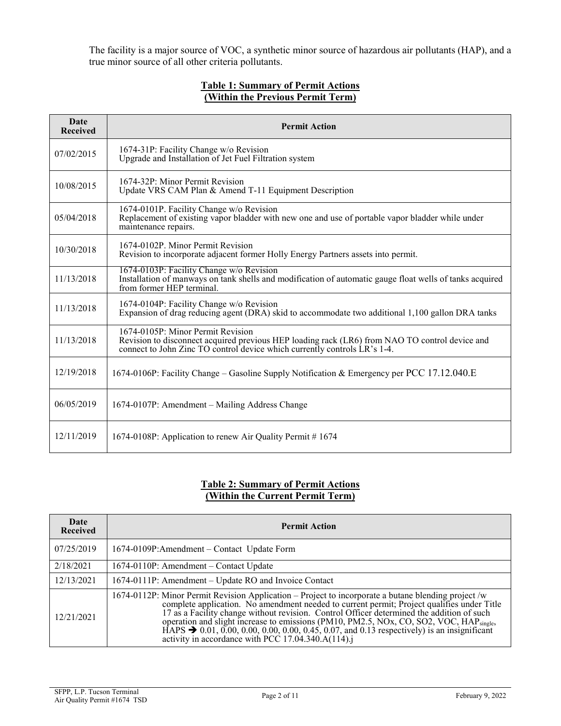The facility is a major source of VOC, a synthetic minor source of hazardous air pollutants (HAP), and a true minor source of all other criteria pollutants.

### **Table 1: Summary of Permit Actions (Within the Previous Permit Term)**

| Date<br><b>Received</b> | <b>Permit Action</b>                                                                                                                                                                                             |
|-------------------------|------------------------------------------------------------------------------------------------------------------------------------------------------------------------------------------------------------------|
| 07/02/2015              | 1674-31P: Facility Change w/o Revision<br>Upgrade and Installation of Jet Fuel Filtration system                                                                                                                 |
| 10/08/2015              | 1674-32P: Minor Permit Revision<br>Update VRS CAM Plan & Amend T-11 Equipment Description                                                                                                                        |
| 05/04/2018              | 1674-0101P. Facility Change w/o Revision<br>Replacement of existing vapor bladder with new one and use of portable vapor bladder while under<br>maintenance repairs.                                             |
| 10/30/2018              | 1674-0102P. Minor Permit Revision<br>Revision to incorporate adjacent former Holly Energy Partners assets into permit.                                                                                           |
| 11/13/2018              | 1674-0103P: Facility Change w/o Revision<br>Installation of manways on tank shells and modification of automatic gauge float wells of tanks acquired<br>from former HEP terminal.                                |
| 11/13/2018              | 1674-0104P: Facility Change w/o Revision<br>Expansion of drag reducing agent (DRA) skid to accommodate two additional 1,100 gallon DRA tanks                                                                     |
| 11/13/2018              | 1674-0105P: Minor Permit Revision<br>Revision to disconnect acquired previous HEP loading rack (LR6) from NAO TO control device and<br>connect to John Zinc TO control device which currently controls LR's 1-4. |
| 12/19/2018              | 1674-0106P: Facility Change – Gasoline Supply Notification & Emergency per PCC 17.12.040.E                                                                                                                       |
| 06/05/2019              | 1674-0107P: Amendment – Mailing Address Change                                                                                                                                                                   |
| 12/11/2019              | 1674-0108P: Application to renew Air Quality Permit #1674                                                                                                                                                        |

## **Table 2: Summary of Permit Actions (Within the Current Permit Term)**

| Date<br><b>Received</b> | <b>Permit Action</b>                                                                                                                                                                                                                                                                                                                                                                                                                                                                                                                                             |  |
|-------------------------|------------------------------------------------------------------------------------------------------------------------------------------------------------------------------------------------------------------------------------------------------------------------------------------------------------------------------------------------------------------------------------------------------------------------------------------------------------------------------------------------------------------------------------------------------------------|--|
| 07/25/2019              | 1674-0109P:Amendment – Contact Update Form                                                                                                                                                                                                                                                                                                                                                                                                                                                                                                                       |  |
| 2/18/2021               | 1674-0110P: Amendment – Contact Update                                                                                                                                                                                                                                                                                                                                                                                                                                                                                                                           |  |
| 12/13/2021              | 1674-0111P: Amendment – Update RO and Invoice Contact                                                                                                                                                                                                                                                                                                                                                                                                                                                                                                            |  |
| 12/21/2021              | 1674-0112P: Minor Permit Revision Application – Project to incorporate a butane blending project /w<br>complete application. No amendment needed to current permit; Project qualifies under Title<br>17 as a Facility change without revision. Control Officer determined the addition of such operation and slight increase to emissions (PM10, PM2.5, NOx, CO, SO2, VOC, HAP <sub>single</sub> ,<br>HAPS $\rightarrow 0.01, 0.00, 0.00, 0.00, 0.00, 0.45, 0.07,$ and 0.13 respectively) is an insignificant activity in accordance with PCC 17.04.340.A(114).j |  |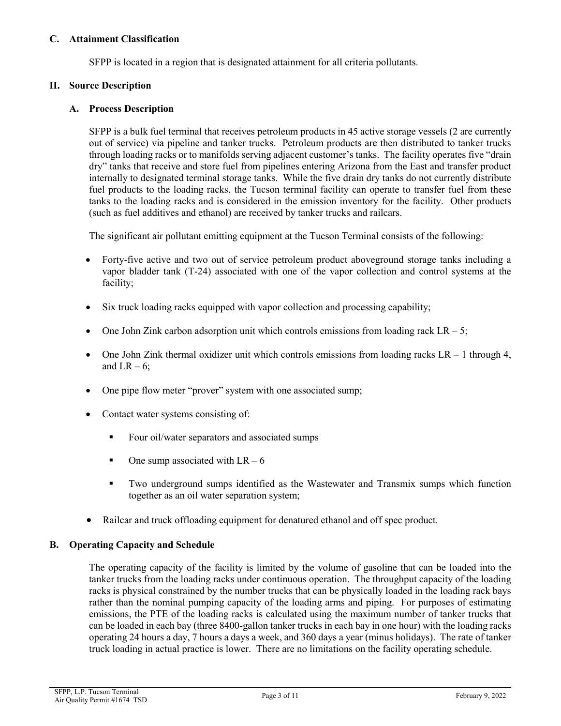### **C. Attainment Classification**

SFPP is located in a region that is designated attainment for all criteria pollutants.

### **II. Source Description**

### **A. Process Description**

SFPP is a bulk fuel terminal that receives petroleum products in 45 active storage vessels (2 are currently out of service) via pipeline and tanker trucks. Petroleum products are then distributed to tanker trucks through loading racks or to manifolds serving adjacent customer's tanks. The facility operates five "drain dry" tanks that receive and store fuel from pipelines entering Arizona from the East and transfer product internally to designated terminal storage tanks. While the five drain dry tanks do not currently distribute fuel products to the loading racks, the Tucson terminal facility can operate to transfer fuel from these tanks to the loading racks and is considered in the emission inventory for the facility. Other products (such as fuel additives and ethanol) are received by tanker trucks and railcars.

The significant air pollutant emitting equipment at the Tucson Terminal consists of the following:

- Forty-five active and two out of service petroleum product aboveground storage tanks including a vapor bladder tank (T-24) associated with one of the vapor collection and control systems at the facility;
- Six truck loading racks equipped with vapor collection and processing capability;
- One John Zink carbon adsorption unit which controls emissions from loading rack  $LR 5$ ;
- One John Zink thermal oxidizer unit which controls emissions from loading racks  $LR 1$  through 4, and  $LR - 6$ ;
- One pipe flow meter "prover" system with one associated sump;
- Contact water systems consisting of:
	- Four oil/water separators and associated sumps
	- $\blacksquare$  One sump associated with LR 6
	- Two underground sumps identified as the Wastewater and Transmix sumps which function together as an oil water separation system;
- Railcar and truck offloading equipment for denatured ethanol and off spec product.

#### **B. Operating Capacity and Schedule**

The operating capacity of the facility is limited by the volume of gasoline that can be loaded into the tanker trucks from the loading racks under continuous operation. The throughput capacity of the loading racks is physical constrained by the number trucks that can be physically loaded in the loading rack bays rather than the nominal pumping capacity of the loading arms and piping. For purposes of estimating emissions, the PTE of the loading racks is calculated using the maximum number of tanker trucks that can be loaded in each bay (three 8400-gallon tanker trucks in each bay in one hour) with the loading racks operating 24 hours a day, 7 hours a days a week, and 360 days a year (minus holidays). The rate of tanker truck loading in actual practice is lower. There are no limitations on the facility operating schedule.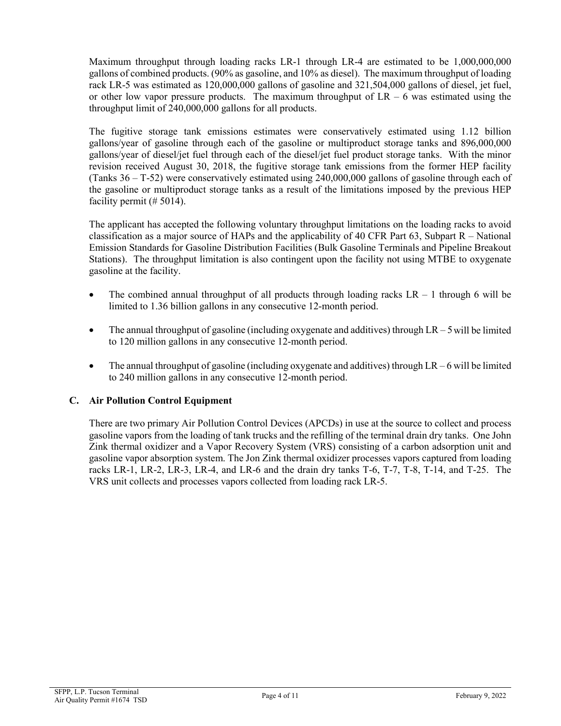Maximum throughput through loading racks LR-1 through LR-4 are estimated to be 1,000,000,000 gallons of combined products. (90% as gasoline, and 10% as diesel). The maximum throughput of loading rack LR-5 was estimated as 120,000,000 gallons of gasoline and 321,504,000 gallons of diesel, jet fuel, or other low vapor pressure products. The maximum throughput of  $LR - 6$  was estimated using the throughput limit of 240,000,000 gallons for all products.

The fugitive storage tank emissions estimates were conservatively estimated using 1.12 billion gallons/year of gasoline through each of the gasoline or multiproduct storage tanks and 896,000,000 gallons/year of diesel/jet fuel through each of the diesel/jet fuel product storage tanks. With the minor revision received August 30, 2018, the fugitive storage tank emissions from the former HEP facility (Tanks 36 – T-52) were conservatively estimated using 240,000,000 gallons of gasoline through each of the gasoline or multiproduct storage tanks as a result of the limitations imposed by the previous HEP facility permit (# 5014).

The applicant has accepted the following voluntary throughput limitations on the loading racks to avoid classification as a major source of HAPs and the applicability of 40 CFR Part 63, Subpart  $R - National$ Emission Standards for Gasoline Distribution Facilities (Bulk Gasoline Terminals and Pipeline Breakout Stations). The throughput limitation is also contingent upon the facility not using MTBE to oxygenate gasoline at the facility.

- The combined annual throughput of all products through loading racks  $LR 1$  through 6 will be limited to 1.36 billion gallons in any consecutive 12-month period.
- The annual throughput of gasoline (including oxygenate and additives) through  $LR 5$  will be limited to 120 million gallons in any consecutive 12-month period.
- The annual throughput of gasoline (including oxygenate and additives) through  $LR 6$  will be limited to 240 million gallons in any consecutive 12-month period.

# **C. Air Pollution Control Equipment**

There are two primary Air Pollution Control Devices (APCDs) in use at the source to collect and process gasoline vapors from the loading of tank trucks and the refilling of the terminal drain dry tanks. One John Zink thermal oxidizer and a Vapor Recovery System (VRS) consisting of a carbon adsorption unit and gasoline vapor absorption system. The Jon Zink thermal oxidizer processes vapors captured from loading racks LR-1, LR-2, LR-3, LR-4, and LR-6 and the drain dry tanks T-6, T-7, T-8, T-14, and T-25. The VRS unit collects and processes vapors collected from loading rack LR-5.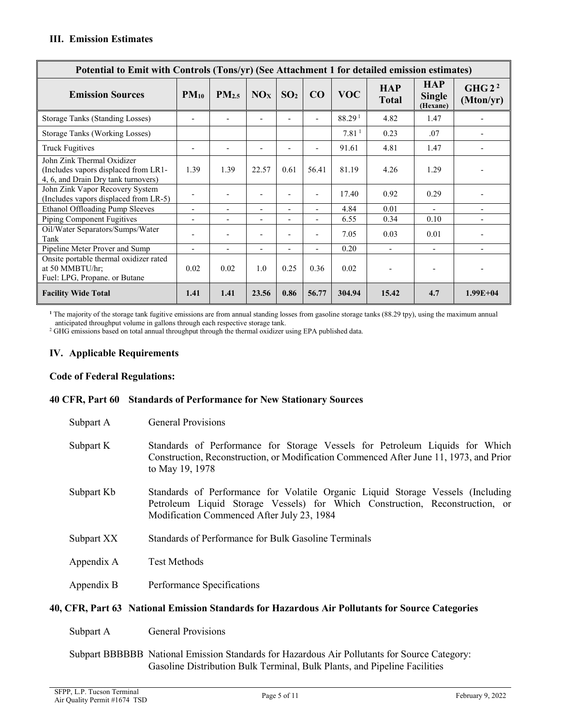| Potential to Emit with Controls (Tons/yr) (See Attachment 1 for detailed emission estimates)              |                          |                              |                          |                          |                          |                    |                     |                                         |                                |
|-----------------------------------------------------------------------------------------------------------|--------------------------|------------------------------|--------------------------|--------------------------|--------------------------|--------------------|---------------------|-----------------------------------------|--------------------------------|
| <b>Emission Sources</b>                                                                                   | $PM_{10}$                | $PM_{2.5}$                   | NO <sub>X</sub>          | SO <sub>2</sub>          | CO                       | <b>VOC</b>         | <b>HAP</b><br>Total | <b>HAP</b><br><b>Single</b><br>(Hexane) | GHG2 <sup>2</sup><br>(Mton/yr) |
| <b>Storage Tanks (Standing Losses)</b>                                                                    | $\overline{\phantom{a}}$ |                              | $\overline{\phantom{a}}$ |                          | $\overline{\phantom{0}}$ | 88.29 <sup>1</sup> | 4.82                | 1.47                                    |                                |
| Storage Tanks (Working Losses)                                                                            |                          |                              |                          |                          |                          | 7.81 <sup>1</sup>  | 0.23                | .07                                     |                                |
| <b>Truck Fugitives</b>                                                                                    | $\overline{\phantom{a}}$ | $\qquad \qquad \blacksquare$ | $\overline{\phantom{a}}$ |                          | $\overline{\phantom{0}}$ | 91.61              | 4.81                | 1.47                                    |                                |
| John Zink Thermal Oxidizer<br>(Includes vapors displaced from LR1-<br>4, 6, and Drain Dry tank turnovers) | 1.39                     | 1.39                         | 22.57                    | 0.61                     | 56.41                    | 81.19              | 4.26                | 1.29                                    |                                |
| John Zink Vapor Recovery System<br>(Includes vapors displaced from LR-5)                                  | $\overline{\phantom{a}}$ | $\overline{\phantom{0}}$     | $\overline{\phantom{a}}$ |                          | $\overline{\phantom{0}}$ | 17.40              | 0.92                | 0.29                                    |                                |
| Ethanol Offloading Pump Sleeves                                                                           | $\blacksquare$           | $\blacksquare$               | $\overline{\phantom{0}}$ | $\blacksquare$           | $\overline{\phantom{0}}$ | 4.84               | 0.01                |                                         | $\overline{a}$                 |
| Piping Component Fugitives                                                                                | $\overline{\phantom{a}}$ | $\overline{\phantom{0}}$     | $\overline{\phantom{0}}$ |                          | $\overline{a}$           | 6.55               | 0.34                | 0.10                                    |                                |
| Oil/Water Separators/Sumps/Water<br>Tank                                                                  | $\overline{\phantom{a}}$ | $\qquad \qquad \blacksquare$ | $\overline{\phantom{a}}$ |                          | $\overline{\phantom{0}}$ | 7.05               | 0.03                | 0.01                                    | -                              |
| Pipeline Meter Prover and Sump                                                                            | $\overline{\phantom{a}}$ | $\overline{\phantom{a}}$     | $\overline{\phantom{a}}$ | $\overline{\phantom{a}}$ | $\overline{a}$           | 0.20               |                     | $\overline{\phantom{a}}$                |                                |
| Onsite portable thermal oxidizer rated<br>at 50 MMBTU/hr;<br>Fuel: LPG, Propane. or Butane                | 0.02                     | 0.02                         | 1.0                      | 0.25                     | 0.36                     | 0.02               |                     | $\overline{\phantom{0}}$                |                                |
| <b>Facility Wide Total</b>                                                                                | 1.41                     | 1.41                         | 23.56                    | 0.86                     | 56.77                    | 304.94             | 15.42               | 4.7                                     | $1.99E + 04$                   |

**<sup>1</sup>** The majority of the storage tank fugitive emissions are from annual standing losses from gasoline storage tanks (88.29 tpy), using the maximum annual

<sup>2</sup> GHG emissions based on total annual throughput through the thermal oxidizer using EPA published data.

# **IV. Applicable Requirements**

#### **Code of Federal Regulations:**

#### **40 CFR, Part 60 Standards of Performance for New Stationary Sources**

| Subpart A  | <b>General Provisions</b>                                                                                                                                                                                     |
|------------|---------------------------------------------------------------------------------------------------------------------------------------------------------------------------------------------------------------|
| Subpart K  | Standards of Performance for Storage Vessels for Petroleum Liquids for Which<br>Construction, Reconstruction, or Modification Commenced After June 11, 1973, and Prior<br>to May 19, 1978                     |
| Subpart Kb | Standards of Performance for Volatile Organic Liquid Storage Vessels (Including<br>Petroleum Liquid Storage Vessels) for Which Construction, Reconstruction, or<br>Modification Commenced After July 23, 1984 |
| Subpart XX | Standards of Performance for Bulk Gasoline Terminals                                                                                                                                                          |
| Appendix A | <b>Test Methods</b>                                                                                                                                                                                           |
| Appendix B | Performance Specifications                                                                                                                                                                                    |
|            | 40, CFR, Part 63 National Emission Standards for Hazardous Air Pollutants for Source Categories                                                                                                               |

Subpart A General Provisions

Subpart BBBBBB National Emission Standards for Hazardous Air Pollutants for Source Category: Gasoline Distribution Bulk Terminal, Bulk Plants, and Pipeline Facilities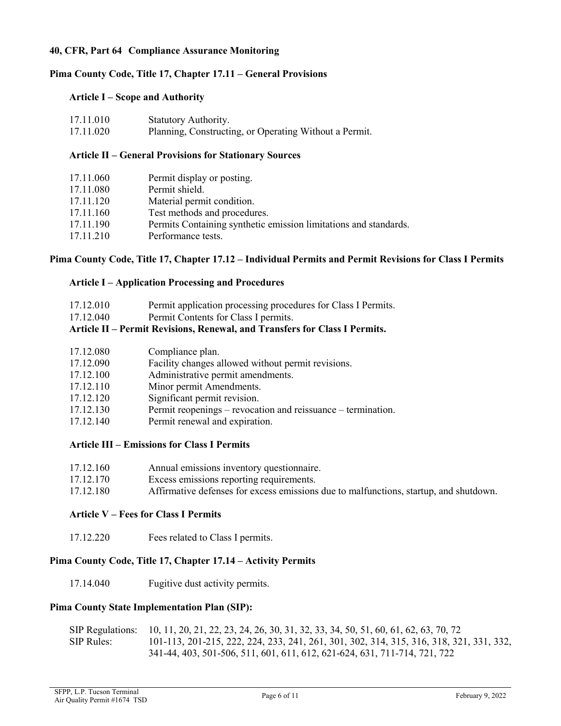### **40, CFR, Part 64 Compliance Assurance Monitoring**

### **Pima County Code, Title 17, Chapter 17.11 – General Provisions**

#### **Article I – Scope and Authority**

| 17.11.010 | Statutory Authority.                                   |
|-----------|--------------------------------------------------------|
| 17.11.020 | Planning, Constructing, or Operating Without a Permit. |

#### **Article II – General Provisions for Stationary Sources**

| 17.11.060 | Permit display or posting.                                       |
|-----------|------------------------------------------------------------------|
| 17.11.080 | Permit shield.                                                   |
| 17.11.120 | Material permit condition.                                       |
| 17.11.160 | Test methods and procedures.                                     |
| 17.11.190 | Permits Containing synthetic emission limitations and standards. |
| 17.11.210 | Performance tests.                                               |

### **Pima County Code, Title 17, Chapter 17.12 – Individual Permits and Permit Revisions for Class I Permits**

#### **Article I – Application Processing and Procedures**

| 17.12.010 | Permit application processing procedures for Class I Permits. |  |  |
|-----------|---------------------------------------------------------------|--|--|
|-----------|---------------------------------------------------------------|--|--|

17.12.040 Permit Contents for Class I permits.

# **Article II – Permit Revisions, Renewal, and Transfers for Class I Permits.**

| 17.12.080 | Compliance plan.                                             |
|-----------|--------------------------------------------------------------|
| 17.12.090 | Facility changes allowed without permit revisions.           |
| 17.12.100 | Administrative permit amendments.                            |
| 17.12.110 | Minor permit Amendments.                                     |
| 17.12.120 | Significant permit revision.                                 |
| 17.12.130 | Permit reopenings – revocation and reissuance – termination. |
| 17.12.140 | Permit renewal and expiration.                               |
|           |                                                              |

#### **Article III – Emissions for Class I Permits**

| 17.12.160 |  | Annual emissions inventory questionnaire. |
|-----------|--|-------------------------------------------|
|           |  |                                           |

- 17.12.170 Excess emissions reporting requirements.
- 17.12.180 Affirmative defenses for excess emissions due to malfunctions, startup, and shutdown.

# **Article V – Fees for Class I Permits**

17.12.220 Fees related to Class I permits.

### **Pima County Code, Title 17, Chapter 17.14 – Activity Permits**

17.14.040 Fugitive dust activity permits.

#### **Pima County State Implementation Plan (SIP):**

| <b>SIP</b> Regulations: | 10, 11, 20, 21, 22, 23, 24, 26, 30, 31, 32, 33, 34, 50, 51, 60, 61, 62, 63, 70, 72      |
|-------------------------|-----------------------------------------------------------------------------------------|
| SIP Rules:              | 101-113, 201-215, 222, 224, 233, 241, 261, 301, 302, 314, 315, 316, 318, 321, 331, 332, |
|                         | 341-44, 403, 501-506, 511, 601, 611, 612, 621-624, 631, 711-714, 721, 722               |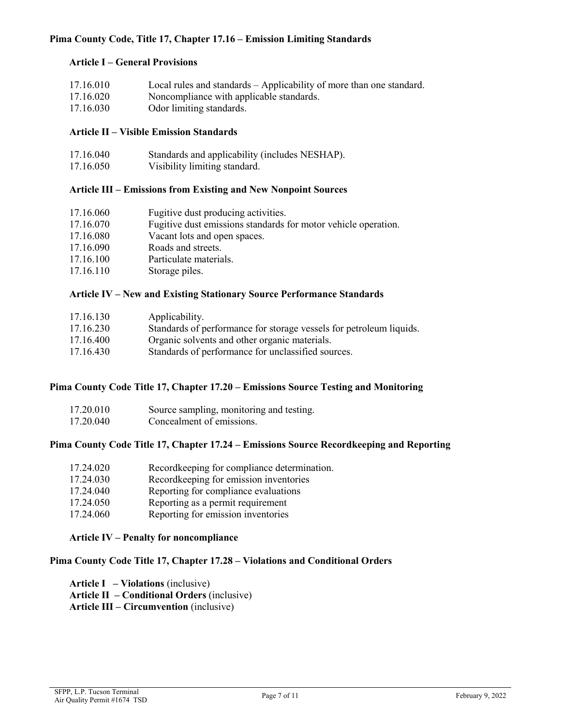### **Pima County Code, Title 17, Chapter 17.16 – Emission Limiting Standards**

### **Article I – General Provisions**

| 17.16.010 | Local rules and standards – Applicability of more than one standard. |
|-----------|----------------------------------------------------------------------|
| 17.16.020 | Noncompliance with applicable standards.                             |
| 17.16.030 | Odor limiting standards.                                             |

### **Article II – Visible Emission Standards**

| 17.16.040 | Standards and applicability (includes NESHAP). |
|-----------|------------------------------------------------|
| 17.16.050 | Visibility limiting standard.                  |

# **Article III – Emissions from Existing and New Nonpoint Sources**

| 17.16.060 | Fugitive dust producing activities.                            |
|-----------|----------------------------------------------------------------|
| 17.16.070 | Fugitive dust emissions standards for motor vehicle operation. |
| 17.16.080 | Vacant lots and open spaces.                                   |
| 17.16.090 | Roads and streets.                                             |
| 17.16.100 | Particulate materials.                                         |
| 17.16.110 | Storage piles.                                                 |
|           |                                                                |

### **Article IV – New and Existing Stationary Source Performance Standards**

| 17.16.130 | Applicability.                                                      |
|-----------|---------------------------------------------------------------------|
| 17.16.230 | Standards of performance for storage vessels for petroleum liquids. |
| 17.16.400 | Organic solvents and other organic materials.                       |
| 17.16.430 | Standards of performance for unclassified sources.                  |
|           |                                                                     |

### **Pima County Code Title 17, Chapter 17.20 – Emissions Source Testing and Monitoring**

| 17.20.010 | Source sampling, monitoring and testing. |
|-----------|------------------------------------------|
| 17.20.040 | Concealment of emissions.                |

#### **Pima County Code Title 17, Chapter 17.24 – Emissions Source Recordkeeping and Reporting**

| 17.24.020 | Recordkeeping for compliance determination. |
|-----------|---------------------------------------------|
| 17.24.030 | Recordkeeping for emission inventories      |
| 17.24.040 | Reporting for compliance evaluations        |
| 17.24.050 | Reporting as a permit requirement           |
| 17.24.060 | Reporting for emission inventories          |

#### **Article IV – Penalty for noncompliance**

# **Pima County Code Title 17, Chapter 17.28 – Violations and Conditional Orders**

**Article I – Violations** (inclusive) **Article II – Conditional Orders** (inclusive) **Article III – Circumvention** (inclusive)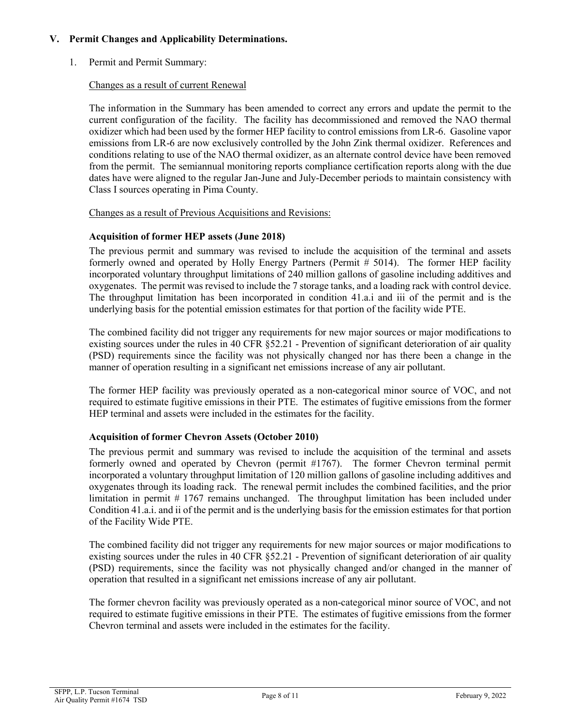## **V. Permit Changes and Applicability Determinations.**

1. Permit and Permit Summary:

### Changes as a result of current Renewal

The information in the Summary has been amended to correct any errors and update the permit to the current configuration of the facility. The facility has decommissioned and removed the NAO thermal oxidizer which had been used by the former HEP facility to control emissions from LR-6. Gasoline vapor emissions from LR-6 are now exclusively controlled by the John Zink thermal oxidizer. References and conditions relating to use of the NAO thermal oxidizer, as an alternate control device have been removed from the permit. The semiannual monitoring reports compliance certification reports along with the due dates have were aligned to the regular Jan-June and July-December periods to maintain consistency with Class I sources operating in Pima County.

#### Changes as a result of Previous Acquisitions and Revisions:

### **Acquisition of former HEP assets (June 2018)**

The previous permit and summary was revised to include the acquisition of the terminal and assets formerly owned and operated by Holly Energy Partners (Permit # 5014). The former HEP facility incorporated voluntary throughput limitations of 240 million gallons of gasoline including additives and oxygenates. The permit was revised to include the 7 storage tanks, and a loading rack with control device. The throughput limitation has been incorporated in condition 41.a.i and iii of the permit and is the underlying basis for the potential emission estimates for that portion of the facility wide PTE.

The combined facility did not trigger any requirements for new major sources or major modifications to existing sources under the rules in 40 CFR §52.21 - Prevention of significant deterioration of air quality (PSD) requirements since the facility was not physically changed nor has there been a change in the manner of operation resulting in a significant net emissions increase of any air pollutant.

The former HEP facility was previously operated as a non-categorical minor source of VOC, and not required to estimate fugitive emissions in their PTE. The estimates of fugitive emissions from the former HEP terminal and assets were included in the estimates for the facility.

# **Acquisition of former Chevron Assets (October 2010)**

The previous permit and summary was revised to include the acquisition of the terminal and assets formerly owned and operated by Chevron (permit #1767). The former Chevron terminal permit incorporated a voluntary throughput limitation of 120 million gallons of gasoline including additives and oxygenates through its loading rack. The renewal permit includes the combined facilities, and the prior limitation in permit # 1767 remains unchanged. The throughput limitation has been included under Condition 41.a.i. and ii of the permit and is the underlying basis for the emission estimates for that portion of the Facility Wide PTE.

The combined facility did not trigger any requirements for new major sources or major modifications to existing sources under the rules in 40 CFR §52.21 - Prevention of significant deterioration of air quality (PSD) requirements, since the facility was not physically changed and/or changed in the manner of operation that resulted in a significant net emissions increase of any air pollutant.

The former chevron facility was previously operated as a non-categorical minor source of VOC, and not required to estimate fugitive emissions in their PTE. The estimates of fugitive emissions from the former Chevron terminal and assets were included in the estimates for the facility.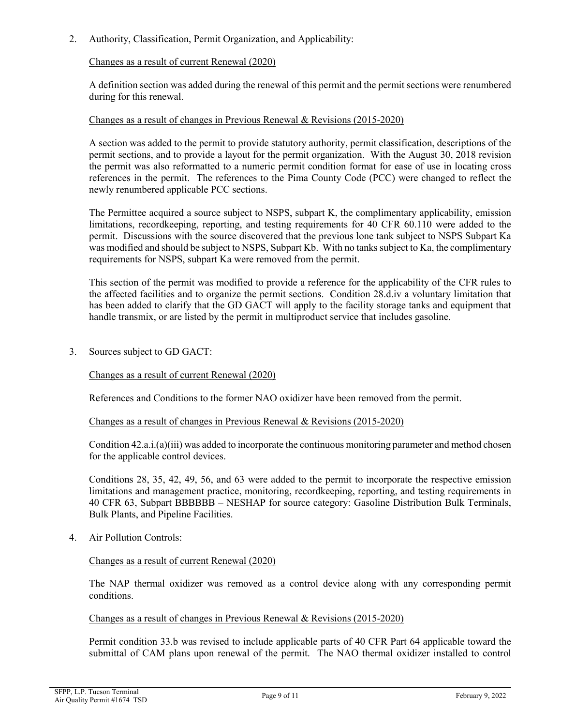2. Authority, Classification, Permit Organization, and Applicability:

### Changes as a result of current Renewal (2020)

A definition section was added during the renewal of this permit and the permit sections were renumbered during for this renewal.

#### Changes as a result of changes in Previous Renewal & Revisions (2015-2020)

A section was added to the permit to provide statutory authority, permit classification, descriptions of the permit sections, and to provide a layout for the permit organization. With the August 30, 2018 revision the permit was also reformatted to a numeric permit condition format for ease of use in locating cross references in the permit. The references to the Pima County Code (PCC) were changed to reflect the newly renumbered applicable PCC sections.

The Permittee acquired a source subject to NSPS, subpart K, the complimentary applicability, emission limitations, recordkeeping, reporting, and testing requirements for 40 CFR 60.110 were added to the permit. Discussions with the source discovered that the previous lone tank subject to NSPS Subpart Ka was modified and should be subject to NSPS, Subpart Kb. With no tanks subject to Ka, the complimentary requirements for NSPS, subpart Ka were removed from the permit.

This section of the permit was modified to provide a reference for the applicability of the CFR rules to the affected facilities and to organize the permit sections. Condition 28.d.iv a voluntary limitation that has been added to clarify that the GD GACT will apply to the facility storage tanks and equipment that handle transmix, or are listed by the permit in multiproduct service that includes gasoline.

3. Sources subject to GD GACT:

#### Changes as a result of current Renewal (2020)

References and Conditions to the former NAO oxidizer have been removed from the permit.

#### Changes as a result of changes in Previous Renewal & Revisions (2015-2020)

Condition 42.a.i.(a)(iii) was added to incorporate the continuous monitoring parameter and method chosen for the applicable control devices.

Conditions 28, 35, 42, 49, 56, and 63 were added to the permit to incorporate the respective emission limitations and management practice, monitoring, recordkeeping, reporting, and testing requirements in 40 CFR 63, Subpart BBBBBB – NESHAP for source category: Gasoline Distribution Bulk Terminals, Bulk Plants, and Pipeline Facilities.

4. Air Pollution Controls:

#### Changes as a result of current Renewal (2020)

The NAP thermal oxidizer was removed as a control device along with any corresponding permit conditions.

### Changes as a result of changes in Previous Renewal & Revisions (2015-2020)

Permit condition 33.b was revised to include applicable parts of 40 CFR Part 64 applicable toward the submittal of CAM plans upon renewal of the permit. The NAO thermal oxidizer installed to control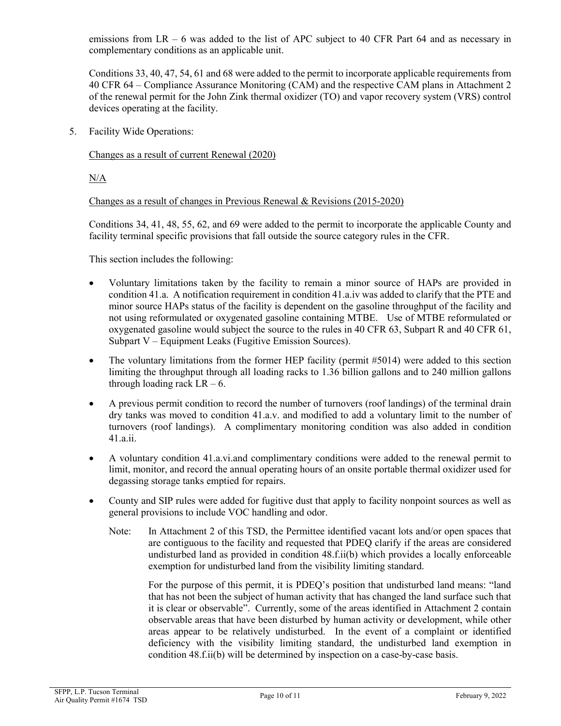emissions from  $LR - 6$  was added to the list of APC subject to 40 CFR Part 64 and as necessary in complementary conditions as an applicable unit.

Conditions 33, 40, 47, 54, 61 and 68 were added to the permit to incorporate applicable requirements from 40 CFR 64 – Compliance Assurance Monitoring (CAM) and the respective CAM plans in Attachment 2 of the renewal permit for the John Zink thermal oxidizer (TO) and vapor recovery system (VRS) control devices operating at the facility.

5. Facility Wide Operations:

### Changes as a result of current Renewal (2020)

N/A

### Changes as a result of changes in Previous Renewal & Revisions (2015-2020)

Conditions 34, 41, 48, 55, 62, and 69 were added to the permit to incorporate the applicable County and facility terminal specific provisions that fall outside the source category rules in the CFR.

This section includes the following:

- Voluntary limitations taken by the facility to remain a minor source of HAPs are provided in condition 41.a. A notification requirement in condition 41.a.iv was added to clarify that the PTE and minor source HAPs status of the facility is dependent on the gasoline throughput of the facility and not using reformulated or oxygenated gasoline containing MTBE. Use of MTBE reformulated or oxygenated gasoline would subject the source to the rules in 40 CFR 63, Subpart R and 40 CFR 61, Subpart V – Equipment Leaks (Fugitive Emission Sources).
- The voluntary limitations from the former HEP facility (permit #5014) were added to this section limiting the throughput through all loading racks to 1.36 billion gallons and to 240 million gallons through loading rack  $LR - 6$ .
- A previous permit condition to record the number of turnovers (roof landings) of the terminal drain dry tanks was moved to condition 41.a.v. and modified to add a voluntary limit to the number of turnovers (roof landings). A complimentary monitoring condition was also added in condition 41.a.ii.
- A voluntary condition 41.a.vi.and complimentary conditions were added to the renewal permit to limit, monitor, and record the annual operating hours of an onsite portable thermal oxidizer used for degassing storage tanks emptied for repairs.
- County and SIP rules were added for fugitive dust that apply to facility nonpoint sources as well as general provisions to include VOC handling and odor.
	- Note: In Attachment 2 of this TSD, the Permittee identified vacant lots and/or open spaces that are contiguous to the facility and requested that PDEQ clarify if the areas are considered undisturbed land as provided in condition 48.f.ii(b) which provides a locally enforceable exemption for undisturbed land from the visibility limiting standard.

For the purpose of this permit, it is PDEQ's position that undisturbed land means: "land that has not been the subject of human activity that has changed the land surface such that it is clear or observable". Currently, some of the areas identified in Attachment 2 contain observable areas that have been disturbed by human activity or development, while other areas appear to be relatively undisturbed. In the event of a complaint or identified deficiency with the visibility limiting standard, the undisturbed land exemption in condition 48.f.ii(b) will be determined by inspection on a case-by-case basis.